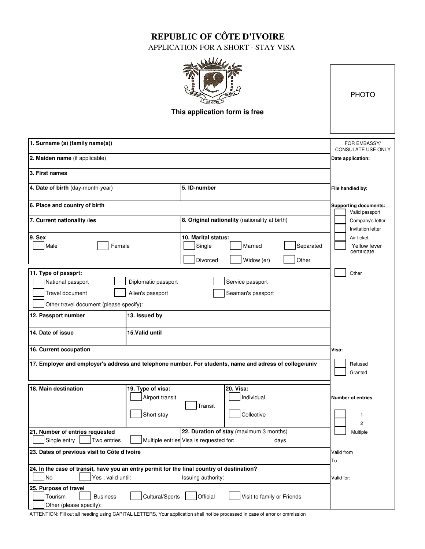## **REPUBLIC OF CÔTE D'IVOIRE**

APPLICATION FOR A SHORT - STAY VISA

| 1. Surname (s) (family name(s))                                                                                                                                                            | <b>PHOTO</b><br>FOR EMBASSY/<br>CONSULATE USE ONLY                                                            |                                                                                      |
|--------------------------------------------------------------------------------------------------------------------------------------------------------------------------------------------|---------------------------------------------------------------------------------------------------------------|--------------------------------------------------------------------------------------|
| 2. Maiden name (if applicable)                                                                                                                                                             | Date application:                                                                                             |                                                                                      |
| 3. First names                                                                                                                                                                             |                                                                                                               |                                                                                      |
| 4. Date of birth (day-month-year)                                                                                                                                                          | 5. ID-number                                                                                                  | File handled by:                                                                     |
| 6. Place and country of birth<br>7. Current nationality /ies                                                                                                                               | <b>Supporting documents:</b><br>Valid passport<br>Company's letter                                            |                                                                                      |
| 9. Sex<br>Female<br>Male                                                                                                                                                                   | 10. Marital status:<br>Single<br>Married<br>Divorced<br>Widow (er)                                            | Invitation letter<br>Air ticket<br>Separated<br>Yellow fever<br>certificate<br>Other |
| 11. Type of passprt:<br>National passport<br>Diplomatic passport<br>Travel document<br>Alien's passport<br>Other travel document (please specify):<br>12. Passport number<br>13. Issued by | Other                                                                                                         |                                                                                      |
| 14. Date of issue                                                                                                                                                                          | 15.Valid until                                                                                                |                                                                                      |
| 16. Current occupation                                                                                                                                                                     | Visa:                                                                                                         |                                                                                      |
| 17. Employer and employer's address and telephone number. For students, name and adress of college/univ                                                                                    | Refused<br>Granted                                                                                            |                                                                                      |
| 18. Main destination                                                                                                                                                                       | 19. Type of visa:<br><b>20. Visa:</b><br>Individual<br>Airport transit<br>Transit<br>Short stay<br>Collective | <b>Number of entries</b><br>1<br>$\overline{c}$                                      |
| 21. Number of entries requested<br>Single entry<br>Multiple entries Visa is requested for:<br>Two entries                                                                                  | Multiple                                                                                                      |                                                                                      |
| 23. Dates of previous visit to Côte d'Ivoire                                                                                                                                               | Valid from<br>To                                                                                              |                                                                                      |
| 24. In the case of transit, have you an entry permit for the final country of destination?<br><b>No</b><br>Yes, valid until:                                                               | Valid for:                                                                                                    |                                                                                      |
| 25. Purpose of travel<br>Tourism<br><b>Business</b><br>Other (please specify):                                                                                                             | Cultural/Sports<br>Official<br>Visit to family or Friends                                                     |                                                                                      |

ATTENTION: Fill out all heading using CAPITAL LETTERS, Your application shall not be processed in case of error or ommission